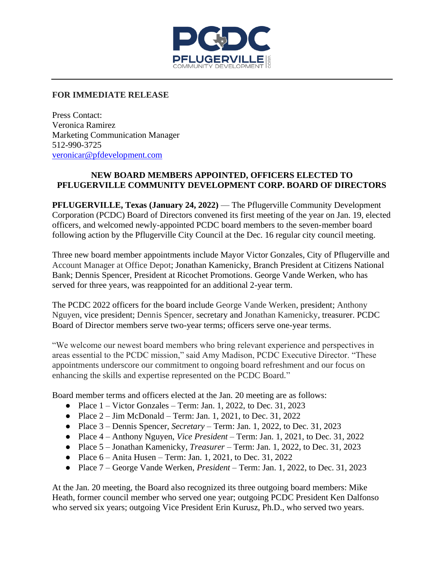

## **FOR IMMEDIATE RELEASE**

Press Contact: Veronica Ramirez Marketing Communication Manager 512-990-3725 [veronicar@pfdevelopment.com](mailto:veronicarl@pfdevelopment.com)

## **NEW BOARD MEMBERS APPOINTED, OFFICERS ELECTED TO PFLUGERVILLE COMMUNITY DEVELOPMENT CORP. BOARD OF DIRECTORS**

**PFLUGERVILLE, Texas (January 24, 2022)** — The Pflugerville Community Development Corporation (PCDC) Board of Directors convened its first meeting of the year on Jan. 19, elected officers, and welcomed newly-appointed PCDC board members to the seven-member board following action by the Pflugerville City Council at the Dec. 16 regular city council meeting.

Three new board member appointments include Mayor Victor Gonzales, City of Pflugerville and Account Manager at Office Depot; Jonathan Kamenicky, Branch President at Citizens National Bank; Dennis Spencer, President at Ricochet Promotions. George Vande Werken, who has served for three years, was reappointed for an additional 2-year term.

The PCDC 2022 officers for the board include George Vande Werken, president; Anthony Nguyen, vice president; Dennis Spencer, secretary and Jonathan Kamenicky, treasurer. PCDC Board of Director members serve two-year terms; officers serve one-year terms.

"We welcome our newest board members who bring relevant experience and perspectives in areas essential to the PCDC mission," said Amy Madison, PCDC Executive Director. "These appointments underscore our commitment to ongoing board refreshment and our focus on enhancing the skills and expertise represented on the PCDC Board."

Board member terms and officers elected at the Jan. 20 meeting are as follows:

- Place  $1 -$  Victor Gonzales Term: Jan. 1, 2022, to Dec. 31, 2023
- Place  $2 \text{Jim } \text{McDonald} \text{Term}$ : Jan. 1, 2021, to Dec. 31, 2022
- Place 3 Dennis Spencer, *Secretary* Term: Jan. 1, 2022, to Dec. 31, 2023
- Place 4 Anthony Nguyen, *Vice President*  Term: Jan. 1, 2021, to Dec. 31, 2022
- Place 5 Jonathan Kamenicky, *Treasurer* Term: Jan. 1, 2022, to Dec. 31, 2023
- Place  $6 -$  Anita Husen Term: Jan. 1, 2021, to Dec. 31, 2022
- Place 7 George Vande Werken, *President* Term: Jan. 1, 2022, to Dec. 31, 2023

At the Jan. 20 meeting, the Board also recognized its three outgoing board members: Mike Heath, former council member who served one year; outgoing PCDC President Ken Dalfonso who served six years; outgoing Vice President Erin Kurusz, Ph.D., who served two years.